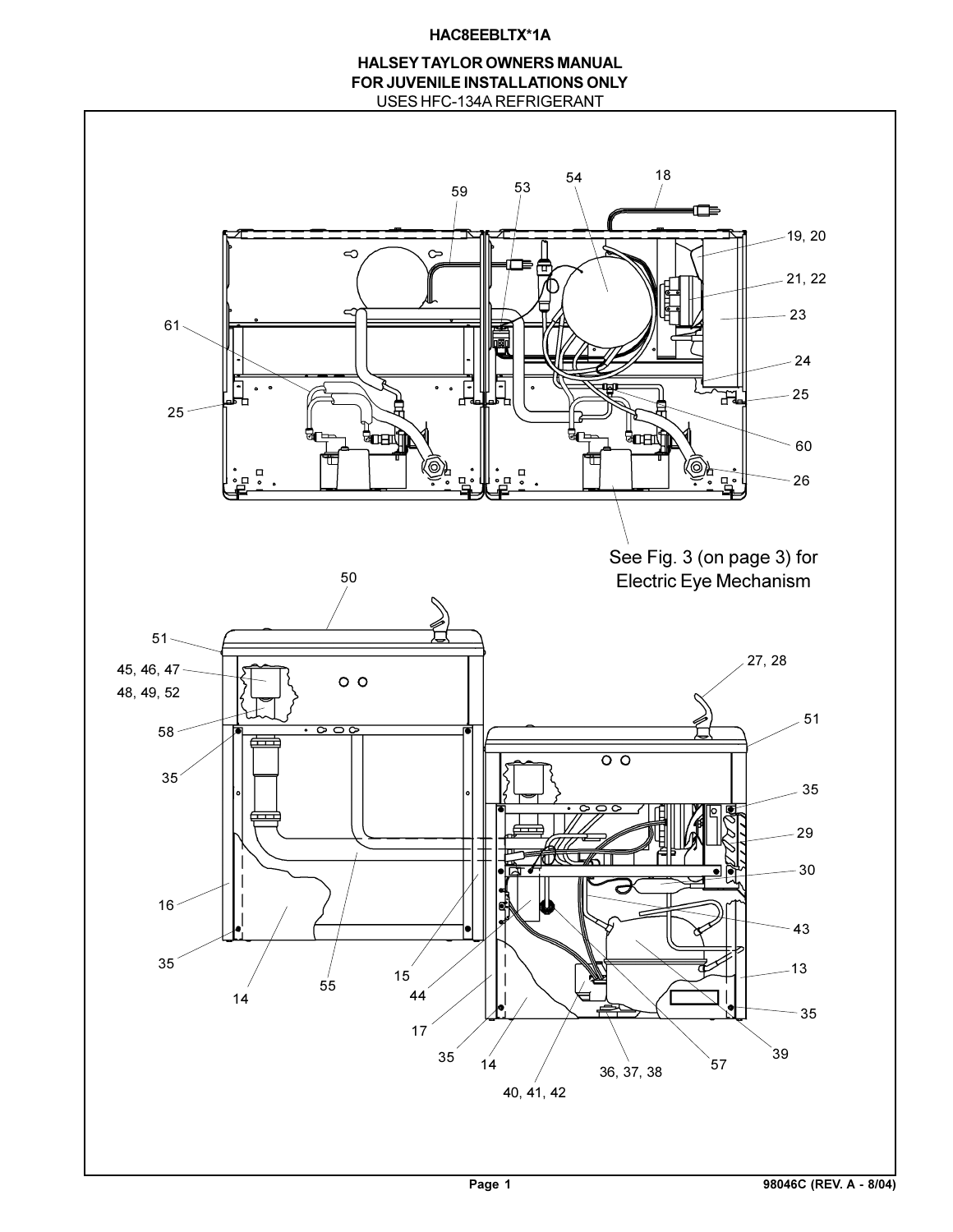# **HAC8EEBLTX\*1A**

# USES HFC-134A REFRIGERANT **HALSEY TAYLOR OWNERS MANUAL FOR JUVENILE INSTALLATIONS ONLY**

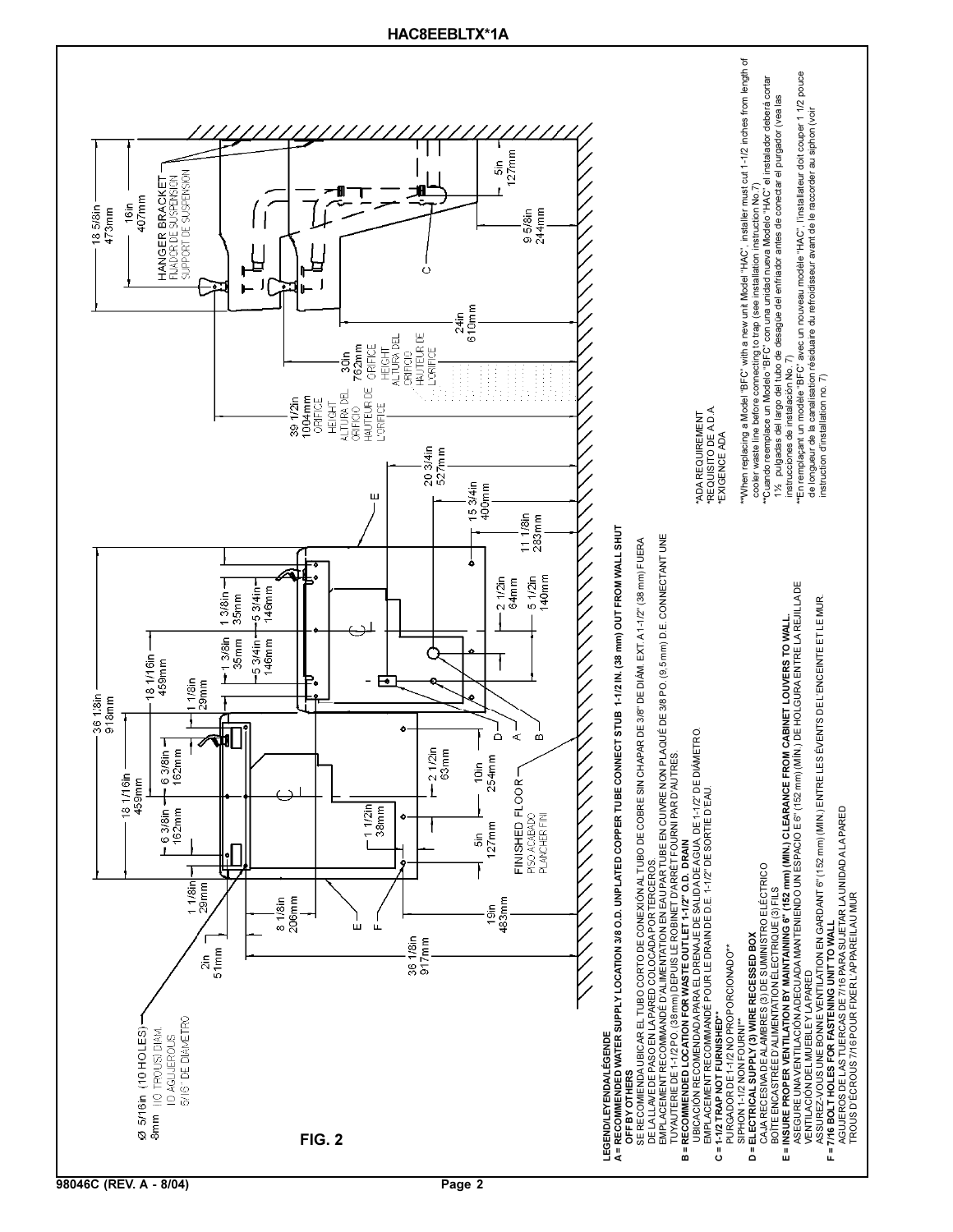

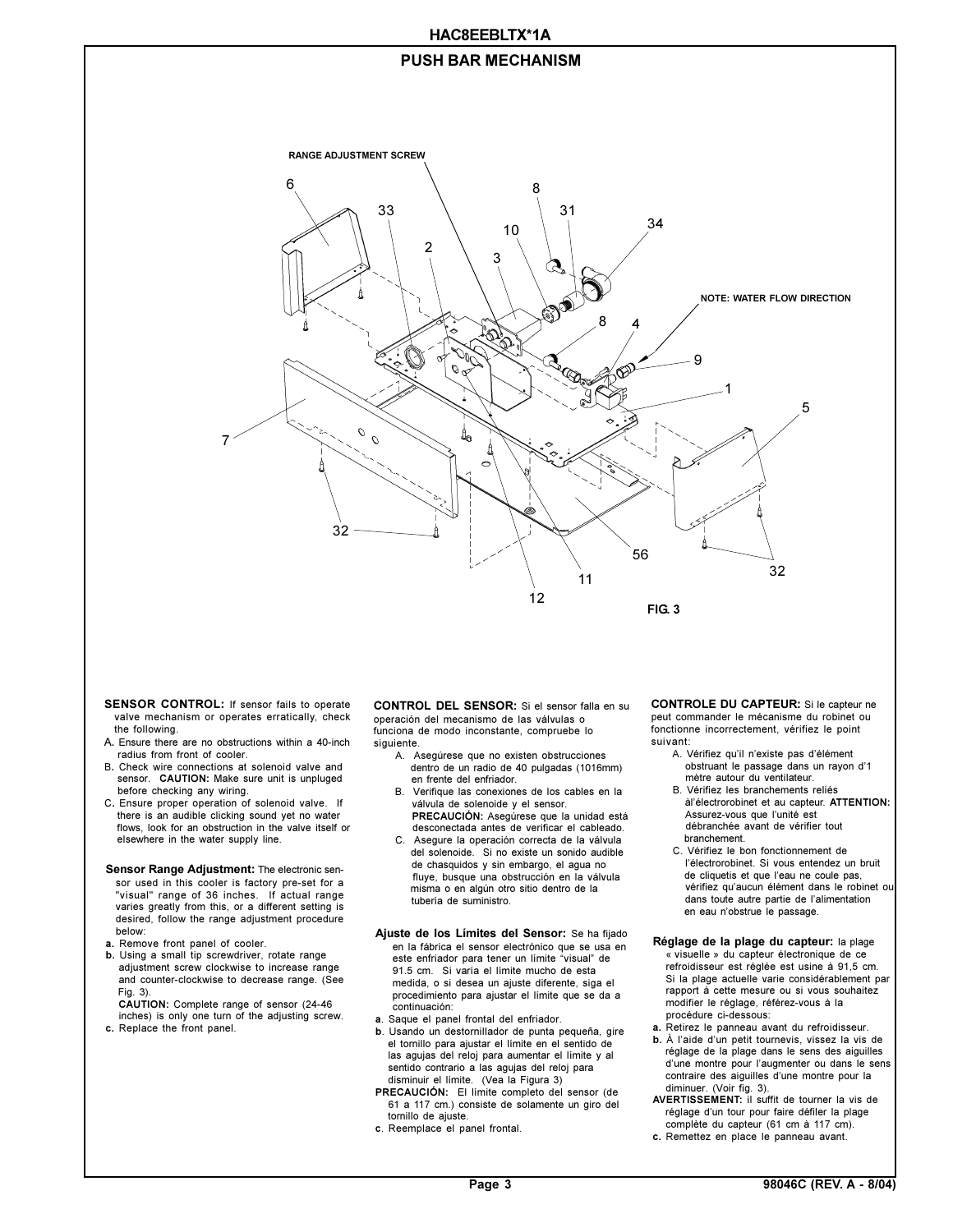## **HAC8EEBLTX\*1A**

# **PUSH BAR MECHANISM**



- **SENSOR CONTROL:** If sensor fails to operate valve mechanism or operates erratically, check the following.
- A**.** Ensure there are no obstructions within a 40-inch radius from front of cooler.
- B**.** Check wire connections at solenoid valve and sensor. **CAUTION:** Make sure unit is unpluged before checking any wiring.
- C**.** Ensure proper operation of solenoid valve. If there is an audible clicking sound yet no water flows, look for an obstruction in the valve itself or elsewhere in the water supply line.

#### **Sensor Range Adjustment:** The electronic sensor used in this cooler is factory pre-set for a "visual" range of 36 inches. If actual range varies greatly from this, or a different setting is desired, follow the range adjustment procedure below:

- **a.** Remove front panel of cooler.
- **b.** Using a small tip screwdriver, rotate range adjustment screw clockwise to increase range and counter-clockwise to decrease range. (See Fig. 3).

 **CAUTION:** Complete range of sensor (24-46 inches) is only one turn of the adjusting screw. **c.** Replace the front panel.

**CONTROL DEL SENSOR:** Si el sensor falla en su operación del mecanismo de las válvulas o funciona de modo inconstante, compruebe lo siguiente.

- A. Asegúrese que no existen obstrucciones dentro de un radio de 40 pulgadas (1016mm) en frente del enfriador.
- B. Verifique las conexiones de los cables en la válvula de solenoide y el sensor.  **PRECAUCIÓN:** Asegúrese que la unidad está
- desconectada antes de verificar el cableado. C. Asegure la operación correcta de la válvula del solenoide. Si no existe un sonido audible de chasquidos y sin embargo, el agua no fluye, busque una obstrucción en la válvula misma o en algún otro sitio dentro de la tubería de suministro.

#### **Ajuste de los Límites del Sensor:** Se ha fijado en la fábrica el sensor electrónico que se usa en este enfriador para tener un límite "visual" de 91.5 cm. Si varía el límite mucho de esta medida, o si desea un ajuste diferente, siga el procedimiento para ajustar el límite que se da a continuación:

- **a**. Saque el panel frontal del enfriador.
- **b**. Usando un destornillador de punta pequeña, gire el tornillo para ajustar el límite en el sentido de las agujas del reloj para aumentar el límite y al sentido contrario a las agujas del reloj para disminuir el límite. (Vea la Figura 3)
- **PRECAUCIÓN:** El límite completo del sensor (de 61 a 117 cm.) consiste de solamente un giro del tornillo de ajuste.
- **c**. Reemplace el panel frontal.

**CONTROLE DU CAPTEUR:** Si le capteur ne peut commander le mécanisme du robinet ou fonctionne incorrectement, vérifiez le point suivant:

- A. Vérifiez qu'il n'existe pas d'élément obstruant le passage dans un rayon d'1<br>mètre autour du ventilateur.
	- B. Vérifiez les branchements reliés àlélectrorobinet et au capteur. **ATTENTION:** Assurez-vous que l'unité est débranchée avant de vérifier tout branchement.
	- C. Vérifiez le bon fonctionnement de l'électrorobinet. Si vous entendez un bruit de cliquetis et que l'eau ne coule pas, vérifiez qu'aucun élément dans le robinet ou dans toute autre partie de l'alimentation en eau n'obstrue le passage.
- **Réglage de la plage du capteur:** la plage « visuelle » du capteur électronique de ce refroidisseur est réglée est usine à 91,5 cm. Si la plage actuelle varie considérablement par rapport à cette mesure ou si vous souhaitez modifier le réglage, référez-vous à la procédure ci-dessous:
- **a.** Retirez le panneau avant du refroidisseur.
- **b.** À l'aide d'un petit tournevis, vissez la vis de réglage de la plage dans le sens des aiguilles d'une montre pour l'augmenter ou dans le sens contraire des aiguilles d'une montre pour la diminuer. (Voir fig. 3).
- **AVERTISSEMENT:** il suffit de tourner la vis de réglage d'un tour pour faire défiler la plage complète du capteur (61 cm à 117 cm).
- **c.** Remettez en place le panneau avant.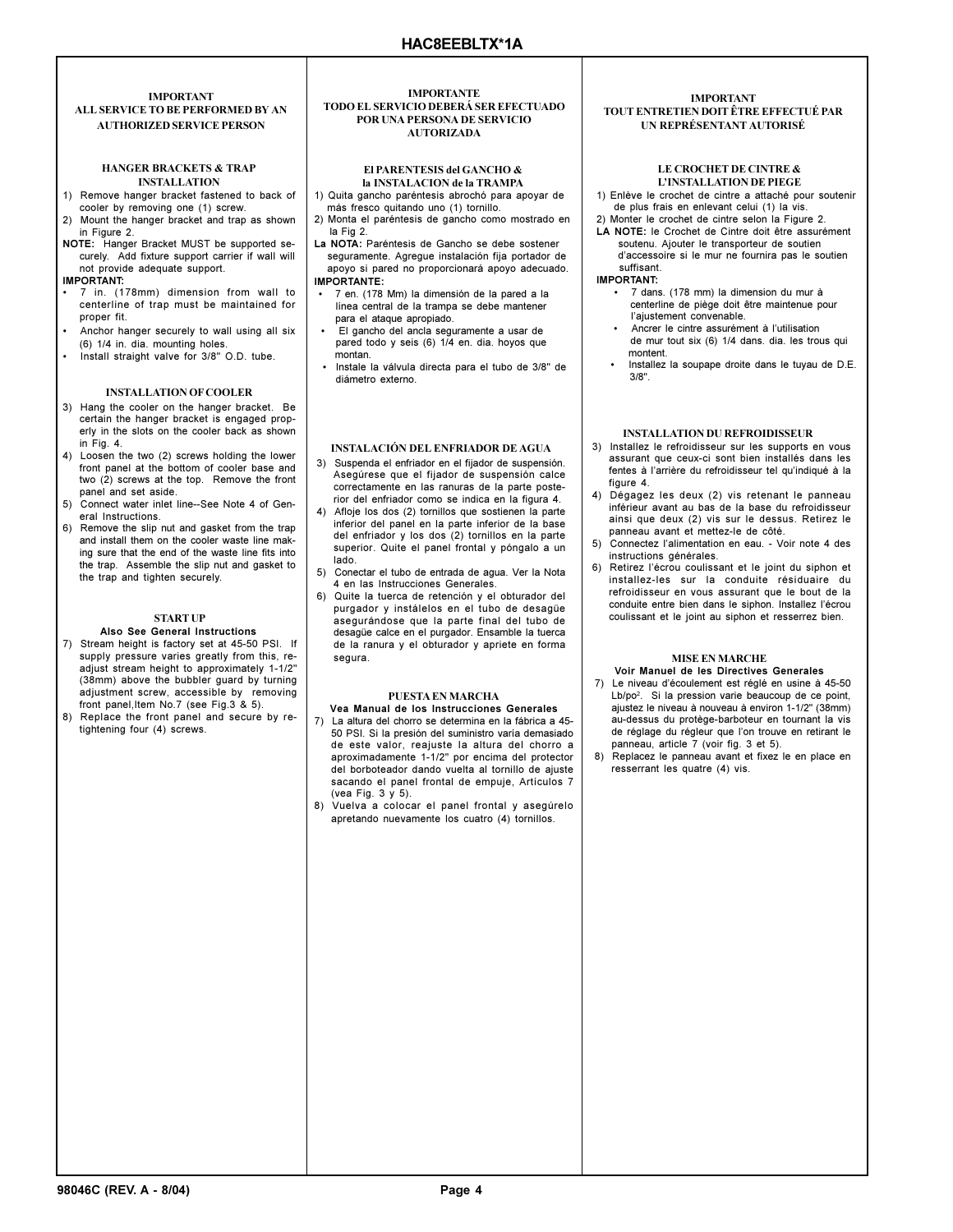## **IMPORTANT ALL SERVICE TO BE PERFORMED BY AN AUTHORIZED SERVICE PERSON**

#### **HANGER BRACKETS & TRAP INSTALLATION**

- 1) Remove hanger bracket fastened to back of cooler by removing one (1) screw.
- 2) Mount the hanger bracket and trap as shown in Figure 2. **NOTE:** Hanger Bracket MUST be supported se-
- curely. Add fixture support carrier if wall will not provide adequate support.

#### **IMPORTANT:**

- 7 in. (178mm) dimension from wall to centerline of trap must be maintained for proper fit.
- Anchor hanger securely to wall using all six (6) 1/4 in. dia. mounting holes.
- Install straight valve for 3/8" O.D. tube.

## **INSTALLATION OF COOLER**

- 3) Hang the cooler on the hanger bracket. Be certain the hanger bracket is engaged properly in the slots on the cooler back as shown in Fig. 4.
- 4) Loosen the two (2) screws holding the lower front panel at the bottom of cooler base and two (2) screws at the top. Remove the front panel and set aside.
- 5) Connect water inlet line--See Note 4 of General Instructions.
- 6) Remove the slip nut and gasket from the trap and install them on the cooler waste line making sure that the end of the waste line fits into the trap. Assemble the slip nut and gasket to the trap and tighten securely.

## **START UP**

- **Also See General Instructions** 7) Stream height is factory set at 45-50 PSI. If supply pressure varies greatly from this, readjust stream height to approximately 1-1/2" (38mm) above the bubbler guard by turning adjustment screw, accessible by removing front panel, Item No.7 (see Fig.3 & 5).
- 8) Replace the front panel and secure by retightening four (4) screws.

#### **IMPORTANTE TODO EL SERVICIO DEBERÁ SER EFECTUADO POR UNA PERSONA DE SERVICIO AUTORIZADA**

## **El PARENTESIS del GANCHO & la INSTALACION de la TRAMPA**

- 1) Quita gancho paréntesis abrochó para apoyar de más fresco quitando uno (1) tornillo.
- 2) Monta el paréntesis de gancho como mostrado en la Fig 2.
- **La NOTA:** Paréntesis de Gancho se debe sostener seguramente. Agregue instalación fija portador de apoyo si pared no proporcionará apoyo adecuado. **IMPORTANTE:**
- 7 en. (178 Mm) la dimensión de la pared a la
- línea central de la trampa se debe mantener para el ataque apropiado.
- El gancho del ancla seguramente a usar de pared todo y seis (6) 1/4 en. dia. hoyos que montan.
- Instale la válvula directa para el tubo de 3/8" de diámetro externo.

## **INSTALACIÓN DEL ENFRIADOR DE AGUA**

- 3) Suspenda el enfriador en el fijador de suspensión. Asegúrese que el fijador de suspensión calce correctamente en las ranuras de la parte posterior del enfriador como se indica en la figura 4.
- 4) Afloje los dos (2) tornillos que sostienen la parte inferior del panel en la parte inferior de la base del enfriador y los dos (2) tornillos en la parte superior. Quite el panel frontal y póngalo a un lado.
- 5) Conectar el tubo de entrada de agua. Ver la Nota 4 en las Instrucciones Generales.
- 6) Quite la tuerca de retención y el obturador del purgador y instálelos en el tubo de desagüe asegurándose que la parte final del tubo de desagüe calce en el purgador. Ensamble la tuerca de la ranura y el obturador y apriete en forma segura.

## **PUESTA EN MARCHA**

- **Vea Manual de los Instrucciones Generales** 7) La altura del chorro se determina en la fábrica a 45- 50 PSI. Si la presión del suministro varía demasiado de este valor, reajuste la altura del chorro a aproximadamente 1-1/2" por encima del protector del borboteador dando vuelta al tornillo de ajuste sacando el panel frontal de empuje, Artículos 7 (vea Fig. 3 y 5).
- 8) Vuelva a colocar el panel frontal y asegúrelo apretando nuevamente los cuatro (4) tornillos.

#### **IMPORTANT TOUT ENTRETIEN DOIT ÊTRE EFFECTUÉ PAR UN REPRÉSENTANT AUTORISÉ**

#### **LE CROCHET DE CINTRE & LINSTALLATION DE PIEGE**

- 1) Enlève le crochet de cintre a attaché pour soutenir de plus frais en enlevant celui (1) la vis.
- 2) Monter le crochet de cintre selon la Figure 2.
- **LA NOTE:** le Crochet de Cintre doit être assurément soutenu. Ajouter le transporteur de soutien daccessoire si le mur ne fournira pas le soutien

 suffisant. **IMPORTANT:**

- 7 dans. (178 mm) la dimension du mur à centerline de piège doit être maintenue pour l'ajustement convenable.
- Ancrer le cintre assurément à l'utilisation de mur tout six (6) 1/4 dans. dia. les trous qui montent.
- Installez la soupape droite dans le tuyau de D.E. 3/8".

# **INSTALLATION DU REFROIDISSEUR**

- 3) Installez le refroidisseur sur les supports en vous assurant que ceux-ci sont bien installés dans les fentes à l'arrière du refroidisseur tel qu'indiqué à la figure 4.
- 4) Dégagez les deux (2) vis retenant le panneau inférieur avant au bas de la base du refroidisseur ainsi que deux (2) vis sur le dessus. Retirez le panneau avant et mettez-le de côté.
- 5) Connectez l'alimentation en eau. Voir note 4 des instructions générales.
- 6) Retirez lécrou coulissant et le joint du siphon et installez-les sur la conduite résiduaire du refroidisseur en vous assurant que le bout de la conduite entre bien dans le siphon. Installez l'écrou coulissant et le joint au siphon et resserrez bien.

# **MISE EN MARCHE**

- **Voir Manuel de les Directives Generales** 7) Le niveau d'écoulement est réglé en usine à 45-50 Lb/po<sup>2</sup>. Si la pression varie beaucoup de ce point, ajustez le niveau à nouveau à environ 1-1/2" (38mm) au-dessus du protège-barboteur en tournant la vis de réglage du régleur que l'on trouve en retirant le panneau, article 7 (voir fig. 3 et 5).
- 8) Replacez le panneau avant et fixez le en place en resserrant les quatre (4) vis.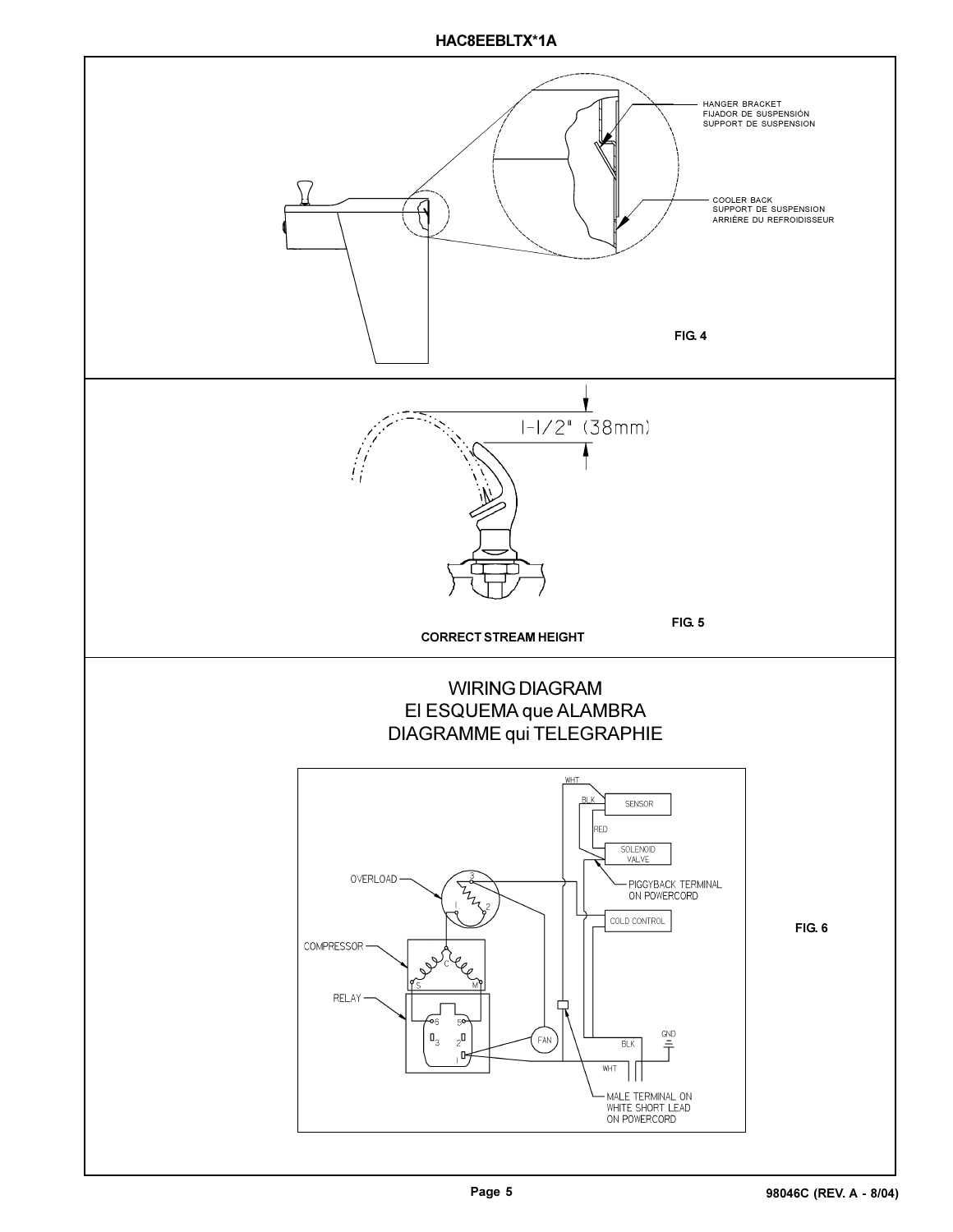